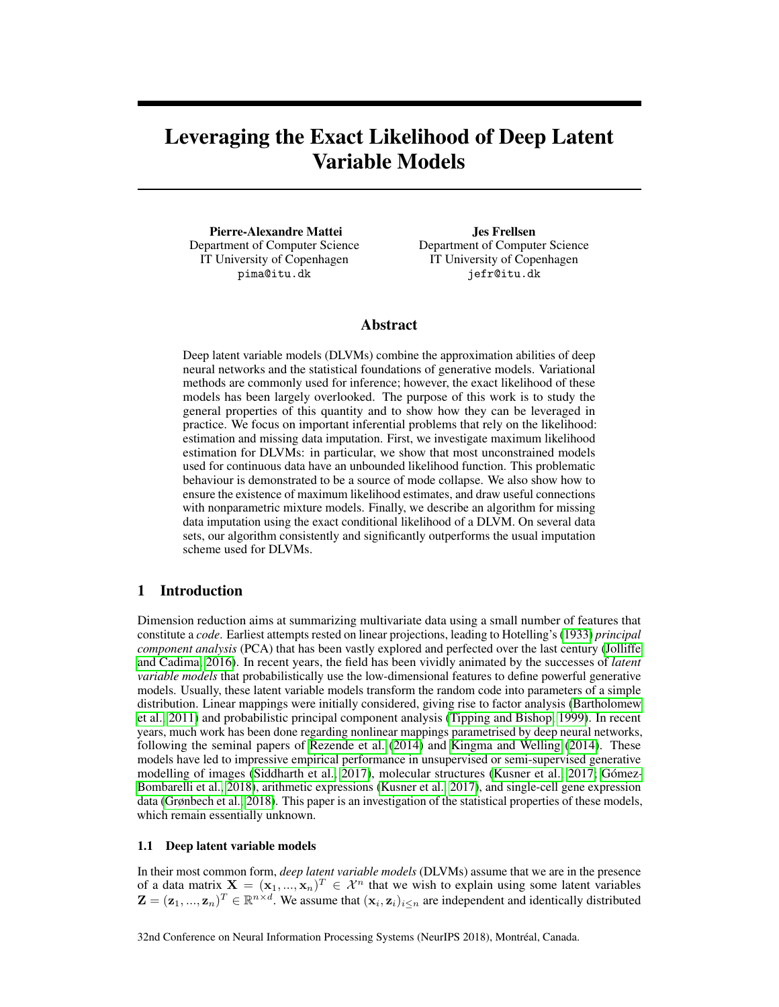# Leveraging the Exact Likelihood of Deep Latent Variable Models

Pierre-Alexandre Mattei Department of Computer Science IT University of Copenhagen pima@itu.dk

Jes Frellsen Department of Computer Science IT University of Copenhagen jefr@itu.dk

## Abstract

Deep latent variable models (DLVMs) combine the approximation abilities of deep neural networks and the statistical foundations of generative models. Variational methods are commonly used for inference; however, the exact likelihood of these models has been largely overlooked. The purpose of this work is to study the general properties of this quantity and to show how they can be leveraged in practice. We focus on important inferential problems that rely on the likelihood: estimation and missing data imputation. First, we investigate maximum likelihood estimation for DLVMs: in particular, we show that most unconstrained models used for continuous data have an unbounded likelihood function. This problematic behaviour is demonstrated to be a source of mode collapse. We also show how to ensure the existence of maximum likelihood estimates, and draw useful connections with nonparametric mixture models. Finally, we describe an algorithm for missing data imputation using the exact conditional likelihood of a DLVM. On several data sets, our algorithm consistently and significantly outperforms the usual imputation scheme used for DLVMs.

# 1 Introduction

Dimension reduction aims at summarizing multivariate data using a small number of features that constitute a *code*. Earliest attempts rested on linear projections, leading to Hotelling's (1933) *principal component analysis* (PCA) that has been vastly explored and perfected over the last century (Jolliffe and Cadima, 2016). In recent years, the field has been vividly animated by the successes of *latent variable models* that probabilistically use the low-dimensional features to define powerful generative models. Usually, these latent variable models transform the random code into parameters of a simple distribution. Linear mappings were initially considered, giving rise to factor analysis (Bartholomew et al., 2011) and probabilistic principal component analysis (Tipping and Bishop, 1999). In recent years, much work has been done regarding nonlinear mappings parametrised by deep neural networks, following the seminal papers of Rezende et al. (2014) and Kingma and Welling (2014). These models have led to impressive empirical performance in unsupervised or semi-supervised generative modelling of images (Siddharth et al., 2017), molecular structures (Kusner et al., 2017; Gómez-Bombarelli et al., 2018), arithmetic expressions (Kusner et al., 2017), and single-cell gene expression data (Grønbech et al., 2018). This paper is an investigation of the statistical properties of these models, which remain essentially unknown.

#### 1.1 Deep latent variable models

In their most common form, *deep latent variable models* (DLVMs) assume that we are in the presence of a data matrix  $\mathbf{X} = (\mathbf{x}_1, ..., \mathbf{x}_n)^T \in \mathcal{X}^n$  that we wish to explain using some latent variables  $\mathbf{Z} = (\mathbf{z}_1, ..., \mathbf{z}_n)^T \in \mathbb{R}^{n \times d}$ . We assume that  $(\mathbf{x}_i, \mathbf{z}_i)_{i \leq n}$  are independent and identically distributed

32nd Conference on Neural Information Processing Systems (NeurIPS 2018), Montréal, Canada.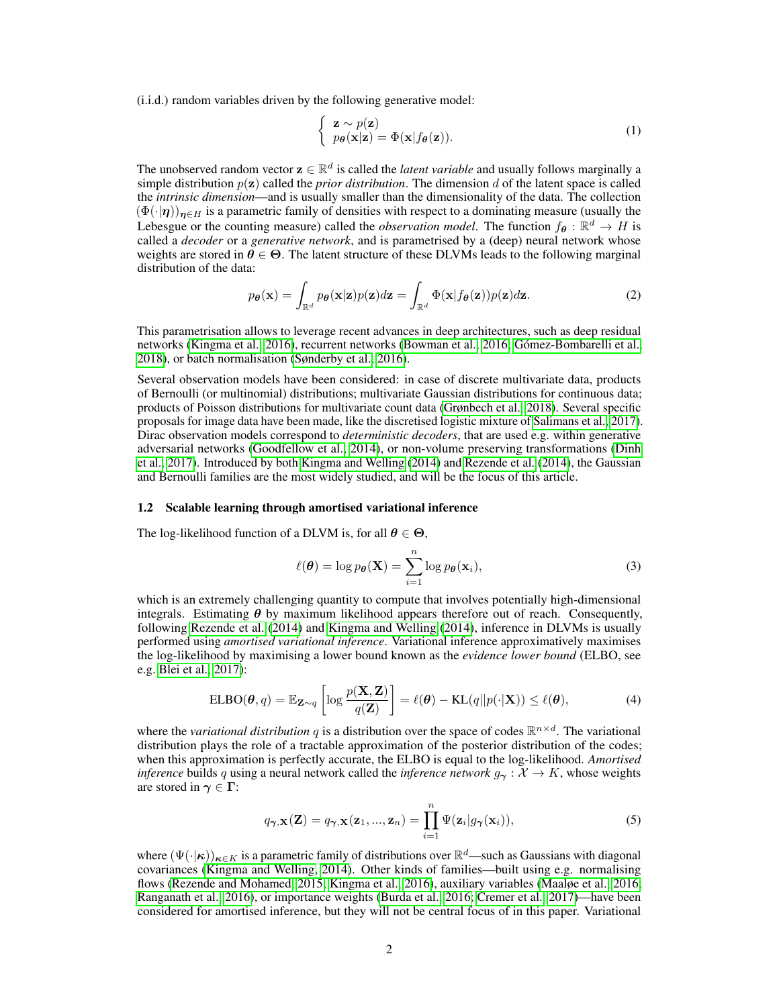(i.i.d.) random variables driven by the following generative model:

$$
\begin{cases} \mathbf{z} \sim p(\mathbf{z}) \\ p_{\theta}(\mathbf{x}|\mathbf{z}) = \Phi(\mathbf{x}|f_{\theta}(\mathbf{z})). \end{cases}
$$
 (1)

The unobserved random vector  $\mathbf{z} \in \mathbb{R}^d$  is called the *latent variable* and usually follows marginally a simple distribution  $p(z)$  called the *prior distribution*. The dimension d of the latent space is called the *intrinsic dimension*—and is usually smaller than the dimensionality of the data. The collection  $(\Phi(\cdot|\eta))_{\eta\in H}$  is a parametric family of densities with respect to a dominating measure (usually the Lebesgue or the counting measure) called the *observation model*. The function  $f_{\theta}: \mathbb{R}^d \to H$  is called a *decoder* or a *generative network*, and is parametrised by a (deep) neural network whose weights are stored in  $\theta \in \Theta$ . The latent structure of these DLVMs leads to the following marginal distribution of the data:

$$
p_{\theta}(\mathbf{x}) = \int_{\mathbb{R}^d} p_{\theta}(\mathbf{x}|\mathbf{z}) p(\mathbf{z}) d\mathbf{z} = \int_{\mathbb{R}^d} \Phi(\mathbf{x}|f_{\theta}(\mathbf{z})) p(\mathbf{z}) d\mathbf{z}.
$$
 (2)

This parametrisation allows to leverage recent advances in deep architectures, such as deep residual networks (Kingma et al., 2016), recurrent networks (Bowman et al., 2016; Gómez-Bombarelli et al., 2018), or batch normalisation (Sønderby et al., 2016).

Several observation models have been considered: in case of discrete multivariate data, products of Bernoulli (or multinomial) distributions; multivariate Gaussian distributions for continuous data; products of Poisson distributions for multivariate count data (Grønbech et al., 2018). Several specific proposals for image data have been made, like the discretised logistic mixture of Salimans et al., 2017). Dirac observation models correspond to *deterministic decoders*, that are used e.g. within generative adversarial networks (Goodfellow et al., 2014), or non-volume preserving transformations (Dinh et al., 2017). Introduced by both Kingma and Welling (2014) and Rezende et al. (2014), the Gaussian and Bernoulli families are the most widely studied, and will be the focus of this article.

#### 1.2 Scalable learning through amortised variational inference

The log-likelihood function of a DLVM is, for all  $\theta \in \Theta$ ,

$$
\ell(\boldsymbol{\theta}) = \log p_{\boldsymbol{\theta}}(\mathbf{X}) = \sum_{i=1}^{n} \log p_{\boldsymbol{\theta}}(\mathbf{x}_i),
$$
\n(3)

which is an extremely challenging quantity to compute that involves potentially high-dimensional integrals. Estimating  $\theta$  by maximum likelihood appears therefore out of reach. Consequently, following Rezende et al. (2014) and Kingma and Welling (2014), inference in DLVMs is usually performed using *amortised variational inference*. Variational inference approximatively maximises the log-likelihood by maximising a lower bound known as the *evidence lower bound* (ELBO, see e.g. Blei et al., 2017):

$$
\text{ELBO}(\boldsymbol{\theta}, q) = \mathbb{E}_{\mathbf{Z} \sim q} \left[ \log \frac{p(\mathbf{X}, \mathbf{Z})}{q(\mathbf{Z})} \right] = \ell(\boldsymbol{\theta}) - \text{KL}(q || p(\cdot | \mathbf{X})) \le \ell(\boldsymbol{\theta}), \tag{4}
$$

where the *variational distribution* q is a distribution over the space of codes  $\mathbb{R}^{n \times d}$ . The variational distribution plays the role of a tractable approximation of the posterior distribution of the codes; when this approximation is perfectly accurate, the ELBO is equal to the log-likelihood. *Amortised inference* builds q using a neural network called the *inference network*  $g_{\gamma}: \mathcal{X} \to K$ , whose weights are stored in  $\gamma \in \Gamma$ :

$$
q_{\boldsymbol{\gamma},\mathbf{X}}(\mathbf{Z}) = q_{\boldsymbol{\gamma},\mathbf{X}}(\mathbf{z}_1,...,\mathbf{z}_n) = \prod_{i=1}^n \Psi(\mathbf{z}_i | g_{\boldsymbol{\gamma}}(\mathbf{x}_i)),
$$
\n(5)

where  $(\Psi(\cdot|\kappa))_{\kappa \in K}$  is a parametric family of distributions over  $\mathbb{R}^d$ —such as Gaussians with diagonal covariances (Kingma and Welling, 2014). Other kinds of families—built using e.g. normalising flows (Rezende and Mohamed, 2015; Kingma et al., 2016), auxiliary variables (Maaløe et al., 2016; Ranganath et al., 2016), or importance weights (Burda et al., 2016; Cremer et al., 2017)—have been considered for amortised inference, but they will not be central focus of in this paper. Variational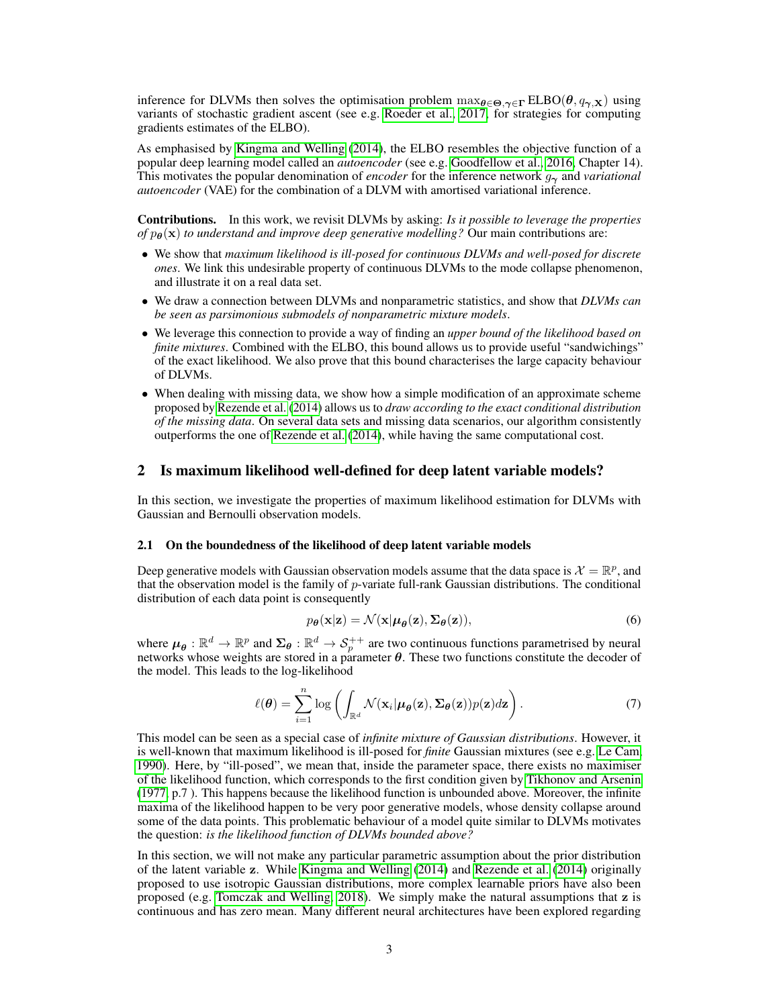inference for DLVMs then solves the optimisation problem  $\max_{\theta \in \Theta, \gamma \in \Gamma} ELBO(\theta, q_{\gamma, X})$  using variants of stochastic gradient ascent (see e.g. Roeder et al., 2017, for strategies for computing gradients estimates of the ELBO).

As emphasised by Kingma and Welling (2014), the ELBO resembles the objective function of a popular deep learning model called an *autoencoder* (see e.g. Goodfellow et al., 2016, Chapter 14). This motivates the popular denomination of *encoder* for the inference network  $q<sub>2</sub>$  and *variational autoencoder* (VAE) for the combination of a DLVM with amortised variational inference.

Contributions. In this work, we revisit DLVMs by asking: *Is it possible to leverage the properties of*  $p_{\theta}(\mathbf{x})$  *to understand and improve deep generative modelling?* Our main contributions are:

- We show that *maximum likelihood is ill-posed for continuous DLVMs and well-posed for discrete ones*. We link this undesirable property of continuous DLVMs to the mode collapse phenomenon, and illustrate it on a real data set.
- We draw a connection between DLVMs and nonparametric statistics, and show that *DLVMs can be seen as parsimonious submodels of nonparametric mixture models*.
- We leverage this connection to provide a way of finding an *upper bound of the likelihood based on finite mixtures*. Combined with the ELBO, this bound allows us to provide useful "sandwichings" of the exact likelihood. We also prove that this bound characterises the large capacity behaviour of DLVMs.
- When dealing with missing data, we show how a simple modification of an approximate scheme proposed by Rezende et al. (2014) allows us to *draw according to the exact conditional distribution of the missing data*. On several data sets and missing data scenarios, our algorithm consistently outperforms the one of Rezende et al. (2014), while having the same computational cost.

## 2 Is maximum likelihood well-defined for deep latent variable models?

In this section, we investigate the properties of maximum likelihood estimation for DLVMs with Gaussian and Bernoulli observation models.

#### 2.1 On the boundedness of the likelihood of deep latent variable models

Deep generative models with Gaussian observation models assume that the data space is  $\mathcal{X} = \mathbb{R}^p$ , and that the observation model is the family of  $p$ -variate full-rank Gaussian distributions. The conditional distribution of each data point is consequently

$$
p_{\theta}(\mathbf{x}|\mathbf{z}) = \mathcal{N}(\mathbf{x}|\boldsymbol{\mu}_{\theta}(\mathbf{z}), \boldsymbol{\Sigma}_{\theta}(\mathbf{z})),
$$
\n(6)

where  $\mu_{\theta} : \mathbb{R}^d \to \mathbb{R}^p$  and  $\Sigma_{\theta} : \mathbb{R}^d \to \mathcal{S}_p^{++}$  are two continuous functions parametrised by neural networks whose weights are stored in a parameter  $\theta$ . These two functions constitute the decoder of the model. This leads to the log-likelihood

$$
\ell(\boldsymbol{\theta}) = \sum_{i=1}^{n} \log \left( \int_{\mathbb{R}^d} \mathcal{N}(\mathbf{x}_i | \boldsymbol{\mu}_{\boldsymbol{\theta}}(\mathbf{z}), \boldsymbol{\Sigma}_{\boldsymbol{\theta}}(\mathbf{z})) p(\mathbf{z}) d\mathbf{z} \right).
$$
 (7)

This model can be seen as a special case of *infinite mixture of Gaussian distributions*. However, it is well-known that maximum likelihood is ill-posed for *finite* Gaussian mixtures (see e.g. Le Cam, 1990). Here, by "ill-posed", we mean that, inside the parameter space, there exists no maximiser of the likelihood function, which corresponds to the first condition given by Tikhonov and Arsenin (1977, p.7 ). This happens because the likelihood function is unbounded above. Moreover, the infinite maxima of the likelihood happen to be very poor generative models, whose density collapse around some of the data points. This problematic behaviour of a model quite similar to DLVMs motivates the question: *is the likelihood function of DLVMs bounded above?*

In this section, we will not make any particular parametric assumption about the prior distribution of the latent variable z. While Kingma and Welling (2014) and Rezende et al. (2014) originally proposed to use isotropic Gaussian distributions, more complex learnable priors have also been proposed (e.g. Tomczak and Welling, 2018). We simply make the natural assumptions that z is continuous and has zero mean. Many different neural architectures have been explored regarding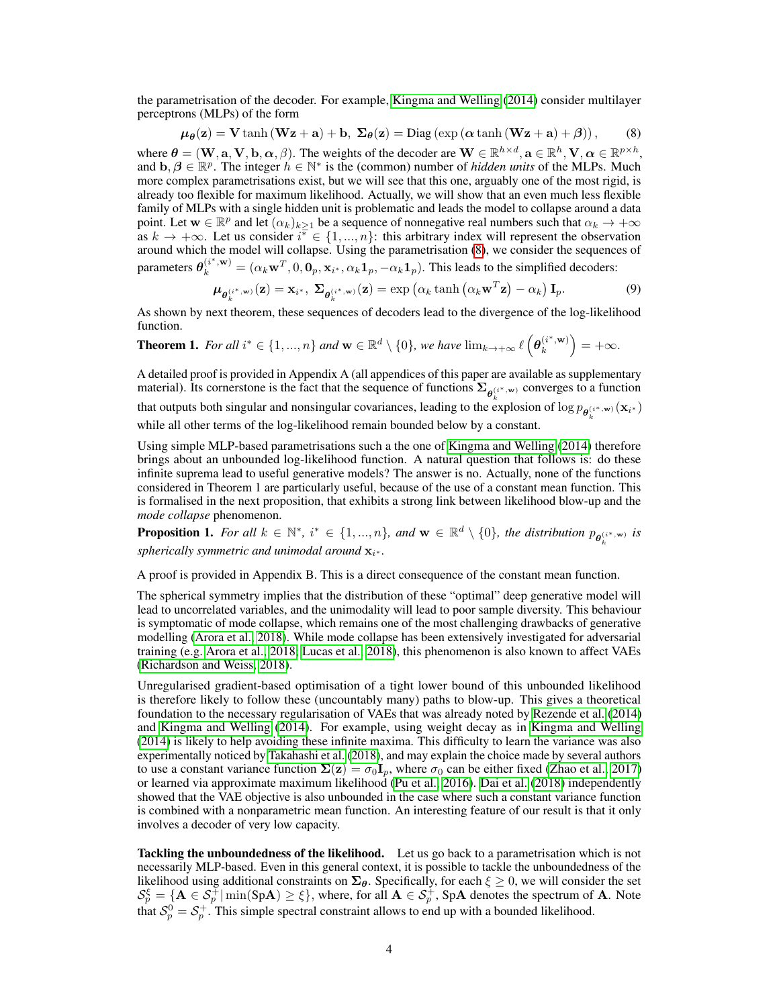the parametrisation of the decoder. For example, Kingma and Welling (2014) consider multilayer perceptrons (MLPs) of the form

$$
\mu_{\theta}(\mathbf{z}) = \mathbf{V} \tanh(\mathbf{W}\mathbf{z} + \mathbf{a}) + \mathbf{b}, \ \Sigma_{\theta}(\mathbf{z}) = \text{Diag} \left( \exp\left(\alpha \tanh(\mathbf{W}\mathbf{z} + \mathbf{a}) + \beta\right)\right), \tag{8}
$$

where  $\theta = (\mathbf{W}, \mathbf{a}, \mathbf{V}, \mathbf{b}, \alpha, \beta)$ . The weights of the decoder are  $\mathbf{W} \in \mathbb{R}^{h \times d}$ ,  $\mathbf{a} \in \mathbb{R}^h$ ,  $\mathbf{V}, \alpha \in \mathbb{R}^{p \times h}$ , and  $\mathbf{b}, \beta \in \mathbb{R}^p$ . The integer  $h \in \mathbb{N}^*$  is the (common) number of *hidden units* of the MLPs. Much more complex parametrisations exist, but we will see that this one, arguably one of the most rigid, is already too flexible for maximum likelihood. Actually, we will show that an even much less flexible family of MLPs with a single hidden unit is problematic and leads the model to collapse around a data point. Let  $\mathbf{w} \in \mathbb{R}^p$  and let  $(\alpha_k)_{k \geq 1}$  be a sequence of nonnegative real numbers such that  $\alpha_k \to +\infty$ as  $k \to +\infty$ . Let us consider  $i^* \in \{1, ..., n\}$ : this arbitrary index will represent the observation around which the model will collapse. Using the parametrisation (8), we consider the sequences of parameters  $\theta_k^{(i^*,\mathbf{w})} = (\alpha_k \mathbf{w}^T, 0, \mathbf{0}_p, \mathbf{x}_{i^*}, \alpha_k \mathbf{1}_p, -\alpha_k \mathbf{1}_p)$ . This leads to the simplified decoders:

$$
\boldsymbol{\mu}_{\boldsymbol{\theta}_{k}^{(i^*,\mathbf{w})}}(\mathbf{z}) = \mathbf{x}_{i^*}, \ \boldsymbol{\Sigma}_{\boldsymbol{\theta}_{k}^{(i^*,\mathbf{w})}}(\mathbf{z}) = \exp\left(\alpha_k \tanh\left(\alpha_k \mathbf{w}^T \mathbf{z}\right) - \alpha_k\right) \mathbf{I}_p. \tag{9}
$$

As shown by next theorem, these sequences of decoders lead to the divergence of the log-likelihood function.

**Theorem 1.** For all 
$$
i^* \in \{1, ..., n\}
$$
 and  $\mathbf{w} \in \mathbb{R}^d \setminus \{0\}$ , we have  $\lim_{k \to +\infty} \ell\left(\boldsymbol{\theta}_k^{(i^*, \mathbf{w})}\right) = +\infty$ .

A detailed proof is provided in Appendix A (all appendices of this paper are available as supplementary material). Its cornerstone is the fact that the sequence of functions  $\Sigma_{\theta_k^{(i^*,w)}}$  converges to a function that outputs both singular and nonsingular covariances, leading to the explosion of  $\log p_{\theta_k^{(i^*,\mathbf{w})}}(\mathbf{x}_{i^*})$ while all other terms of the log-likelihood remain bounded below by a constant.

Using simple MLP-based parametrisations such a the one of Kingma and Welling (2014) therefore brings about an unbounded log-likelihood function. A natural question that follows is: do these infinite suprema lead to useful generative models? The answer is no. Actually, none of the functions considered in Theorem 1 are particularly useful, because of the use of a constant mean function. This is formalised in the next proposition, that exhibits a strong link between likelihood blow-up and the *mode collapse* phenomenon.

**Proposition 1.** For all  $k \in \mathbb{N}^*$ ,  $i^* \in \{1, ..., n\}$ , and  $\mathbf{w} \in \mathbb{R}^d \setminus \{0\}$ , the distribution  $p_{\boldsymbol{\theta}_k^{(i^*, \mathbf{w})}}$  is  $spherically symmetric and unimodal around  $x_{i^*}$ .$ 

A proof is provided in Appendix B. This is a direct consequence of the constant mean function.

The spherical symmetry implies that the distribution of these "optimal" deep generative model will lead to uncorrelated variables, and the unimodality will lead to poor sample diversity. This behaviour is symptomatic of mode collapse, which remains one of the most challenging drawbacks of generative modelling (Arora et al., 2018). While mode collapse has been extensively investigated for adversarial training (e.g. Arora et al., 2018; Lucas et al., 2018), this phenomenon is also known to affect VAEs (Richardson and Weiss, 2018).

Unregularised gradient-based optimisation of a tight lower bound of this unbounded likelihood is therefore likely to follow these (uncountably many) paths to blow-up. This gives a theoretical foundation to the necessary regularisation of VAEs that was already noted by Rezende et al. (2014) and Kingma and Welling (2014). For example, using weight decay as in Kingma and Welling (2014) is likely to help avoiding these infinite maxima. This difficulty to learn the variance was also experimentally noticed by Takahashi et al. (2018), and may explain the choice made by several authors to use a constant variance function  $\Sigma(z) = \sigma_0 I_p$ , where  $\sigma_0$  can be either fixed (Zhao et al., 2017) or learned via approximate maximum likelihood (Pu et al., 2016). Dai et al. (2018) independently showed that the VAE objective is also unbounded in the case where such a constant variance function is combined with a nonparametric mean function. An interesting feature of our result is that it only involves a decoder of very low capacity.

Tackling the unboundedness of the likelihood. Let us go back to a parametrisation which is not necessarily MLP-based. Even in this general context, it is possible to tackle the unboundedness of the likelihood using additional constraints on  $\Sigma_{\theta}$ . Specifically, for each  $\xi \geq 0$ , we will consider the set  $\mathcal{S}_p^{\xi} = \{ \mathbf{A} \in \mathcal{S}_p^{\frac{1}{\tau}} \vert \min(\mathrm{SpA}) \geq \xi \},\,$  where, for all  $\mathbf{A} \in \mathcal{S}_p^{\frac{1}{\tau}}$ , SpA denotes the spectrum of A. Note that  $S_p^0 = S_p^+$ . This simple spectral constraint allows to end up with a bounded likelihood.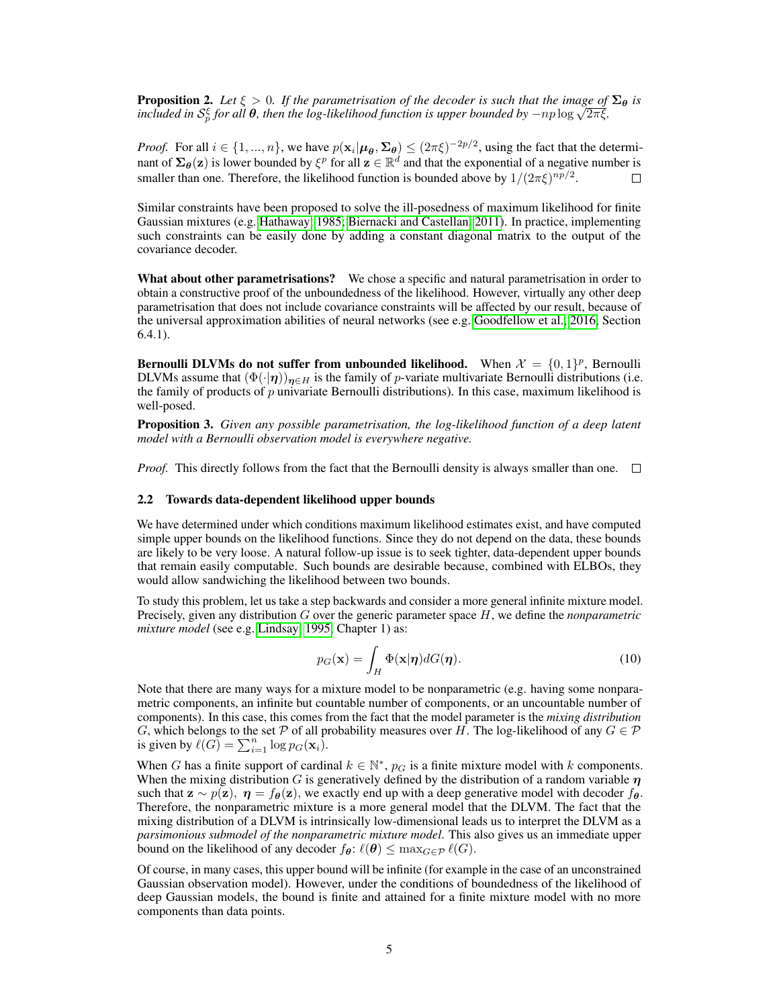**Proposition 2.** Let  $\xi > 0$ . If the parametrisation of the decoder is such that the image of  $\Sigma_{\theta}$  is *f***roposition 2.** Let *ξ* > 0. If the parametrisation of the decoder is such that the image of included in S<sub>p</sub><sup>5</sup> for all **θ**, then the log-likelihood function is upper bounded by −np log  $\sqrt{2\pi\xi}$ .

*Proof.* For all  $i \in \{1, ..., n\}$ , we have  $p(\mathbf{x}_i | \boldsymbol{\mu}_{\boldsymbol{\theta}}, \boldsymbol{\Sigma}_{\boldsymbol{\theta}}) \leq (2\pi \xi)^{-2p/2}$ , using the fact that the determinant of  $\Sigma_{\theta}(\mathbf{z})$  is lower bounded by  $\xi^p$  for all  $\mathbf{z} \in \mathbb{R}^d$  and that the exponential of a negative number is smaller than one. Therefore, the likelihood function is bounded above by  $1/(2\pi\xi)^{np/2}$ .

Similar constraints have been proposed to solve the ill-posedness of maximum likelihood for finite Gaussian mixtures (e.g. Hathaway, 1985; Biernacki and Castellan, 2011). In practice, implementing such constraints can be easily done by adding a constant diagonal matrix to the output of the covariance decoder.

What about other parametrisations? We chose a specific and natural parametrisation in order to obtain a constructive proof of the unboundedness of the likelihood. However, virtually any other deep parametrisation that does not include covariance constraints will be affected by our result, because of the universal approximation abilities of neural networks (see e.g. Goodfellow et al., 2016, Section 6.4.1).

**Bernoulli DLVMs do not suffer from unbounded likelihood.** When  $\mathcal{X} = \{0, 1\}^p$ , Bernoulli DLVMs assume that  $(\Phi(\cdot|\eta))_{\eta\in H}$  is the family of p-variate multivariate Bernoulli distributions (i.e. the family of products of  $p$  univariate Bernoulli distributions). In this case, maximum likelihood is well-posed.

Proposition 3. *Given any possible parametrisation, the log-likelihood function of a deep latent model with a Bernoulli observation model is everywhere negative.*

*Proof.* This directly follows from the fact that the Bernoulli density is always smaller than one.  $\square$ 

#### 2.2 Towards data-dependent likelihood upper bounds

We have determined under which conditions maximum likelihood estimates exist, and have computed simple upper bounds on the likelihood functions. Since they do not depend on the data, these bounds are likely to be very loose. A natural follow-up issue is to seek tighter, data-dependent upper bounds that remain easily computable. Such bounds are desirable because, combined with ELBOs, they would allow sandwiching the likelihood between two bounds.

To study this problem, let us take a step backwards and consider a more general infinite mixture model. Precisely, given any distribution G over the generic parameter space H, we define the *nonparametric mixture model* (see e.g. Lindsay, 1995, Chapter 1) as:

$$
p_G(\mathbf{x}) = \int_H \Phi(\mathbf{x}|\boldsymbol{\eta}) dG(\boldsymbol{\eta}).
$$
\n(10)

Note that there are many ways for a mixture model to be nonparametric (e.g. having some nonparametric components, an infinite but countable number of components, or an uncountable number of components). In this case, this comes from the fact that the model parameter is the *mixing distribution* G, which belongs to the set P of all probability measures over H. The log-likelihood of any  $G \in \mathcal{P}$ is given by  $\ell(G) = \sum_{i=1}^n \log p_G(\mathbf{x}_i)$ .

When G has a finite support of cardinal  $k \in \mathbb{N}^*$ ,  $p_G$  is a finite mixture model with k components. When the mixing distribution G is generatively defined by the distribution of a random variable  $\eta$ such that  $\mathbf{z} \sim p(\mathbf{z}), \eta = f_{\theta}(\mathbf{z})$ , we exactly end up with a deep generative model with decoder  $f_{\theta}$ . Therefore, the nonparametric mixture is a more general model that the DLVM. The fact that the mixing distribution of a DLVM is intrinsically low-dimensional leads us to interpret the DLVM as a *parsimonious submodel of the nonparametric mixture model*. This also gives us an immediate upper bound on the likelihood of any decoder  $f_{\theta}$ :  $\ell(\theta) \leq \max_{G \in \mathcal{P}} \ell(G)$ .

Of course, in many cases, this upper bound will be infinite (for example in the case of an unconstrained Gaussian observation model). However, under the conditions of boundedness of the likelihood of deep Gaussian models, the bound is finite and attained for a finite mixture model with no more components than data points.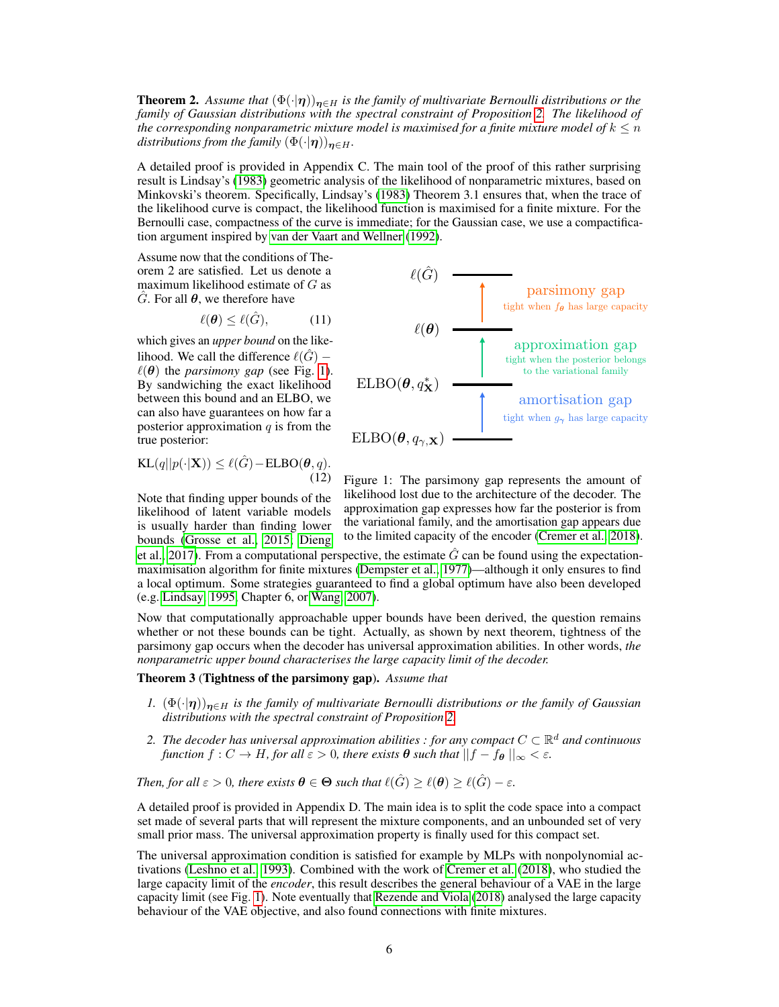**Theorem 2.** Assume that  $(\Phi(\cdot|\eta))_{n\in H}$  is the family of multivariate Bernoulli distributions or the *family of Gaussian distributions with the spectral constraint of Proposition 2. The likelihood of the corresponding nonparametric mixture model is maximised for a finite mixture model of*  $k \leq n$ *distributions from the family*  $(\Phi(\cdot|\eta))_{n\in H}$ .

A detailed proof is provided in Appendix C. The main tool of the proof of this rather surprising result is Lindsay's (1983) geometric analysis of the likelihood of nonparametric mixtures, based on Minkovski's theorem. Specifically, Lindsay's (1983) Theorem 3.1 ensures that, when the trace of the likelihood curve is compact, the likelihood function is maximised for a finite mixture. For the Bernoulli case, compactness of the curve is immediate; for the Gaussian case, we use a compactification argument inspired by van der Vaart and Wellner (1992).

Assume now that the conditions of Theorem 2 are satisfied. Let us denote a maximum likelihood estimate of  $G$  as G. For all  $\theta$ , we therefore have

$$
\ell(\boldsymbol{\theta}) \le \ell(\hat{G}), \tag{11}
$$

which gives an *upper bound* on the likelihood. We call the difference  $\ell(\hat{G})$  −  $\ell(\theta)$  the *parsimony gap* (see Fig. 1). By sandwiching the exact likelihood between this bound and an ELBO, we can also have guarantees on how far a posterior approximation  $q$  is from the true posterior:

$$
KL(q||p(\cdot|\mathbf{X})) \le \ell(\hat{G}) - ELBO(\boldsymbol{\theta}, q).
$$
\n(12)

Note that finding upper bounds of the likelihood of latent variable models is usually harder than finding lower bounds (Grosse et al., 2015; Dieng



Figure 1: The parsimony gap represents the amount of likelihood lost due to the architecture of the decoder. The approximation gap expresses how far the posterior is from the variational family, and the amortisation gap appears due to the limited capacity of the encoder (Cremer et al., 2018).

et al., 2017). From a computational perspective, the estimate  $\tilde{G}$  can be found using the expectationmaximisation algorithm for finite mixtures (Dempster et al., 1977)—although it only ensures to find a local optimum. Some strategies guaranteed to find a global optimum have also been developed (e.g. Lindsay, 1995, Chapter 6, or Wang, 2007).

Now that computationally approachable upper bounds have been derived, the question remains whether or not these bounds can be tight. Actually, as shown by next theorem, tightness of the parsimony gap occurs when the decoder has universal approximation abilities. In other words, *the nonparametric upper bound characterises the large capacity limit of the decoder.*

## Theorem 3 (Tightness of the parsimony gap). *Assume that*

- *1.*  $(\Phi(\cdot|\eta))_{\eta \in H}$  *is the family of multivariate Bernoulli distributions or the family of Gaussian distributions with the spectral constraint of Proposition 2.*
- 2. The decoder has universal approximation abilities : for any compact  $C \subset \mathbb{R}^d$  and continuous *function*  $f: C \to H$ *, for all*  $\varepsilon > 0$ *, there exists*  $\theta$  *such that*  $||f - f_{\theta}||_{\infty} < \varepsilon$ *.*

*Then, for all*  $\varepsilon > 0$ *, there exists*  $\theta \in \Theta$  *such that*  $\ell(\hat{G}) \geq \ell(\theta) \geq \ell(\hat{G}) - \varepsilon$ *.* 

A detailed proof is provided in Appendix D. The main idea is to split the code space into a compact set made of several parts that will represent the mixture components, and an unbounded set of very small prior mass. The universal approximation property is finally used for this compact set.

The universal approximation condition is satisfied for example by MLPs with nonpolynomial activations (Leshno et al., 1993). Combined with the work of Cremer et al. (2018), who studied the large capacity limit of the *encoder*, this result describes the general behaviour of a VAE in the large capacity limit (see Fig. 1). Note eventually that Rezende and Viola (2018) analysed the large capacity behaviour of the VAE objective, and also found connections with finite mixtures.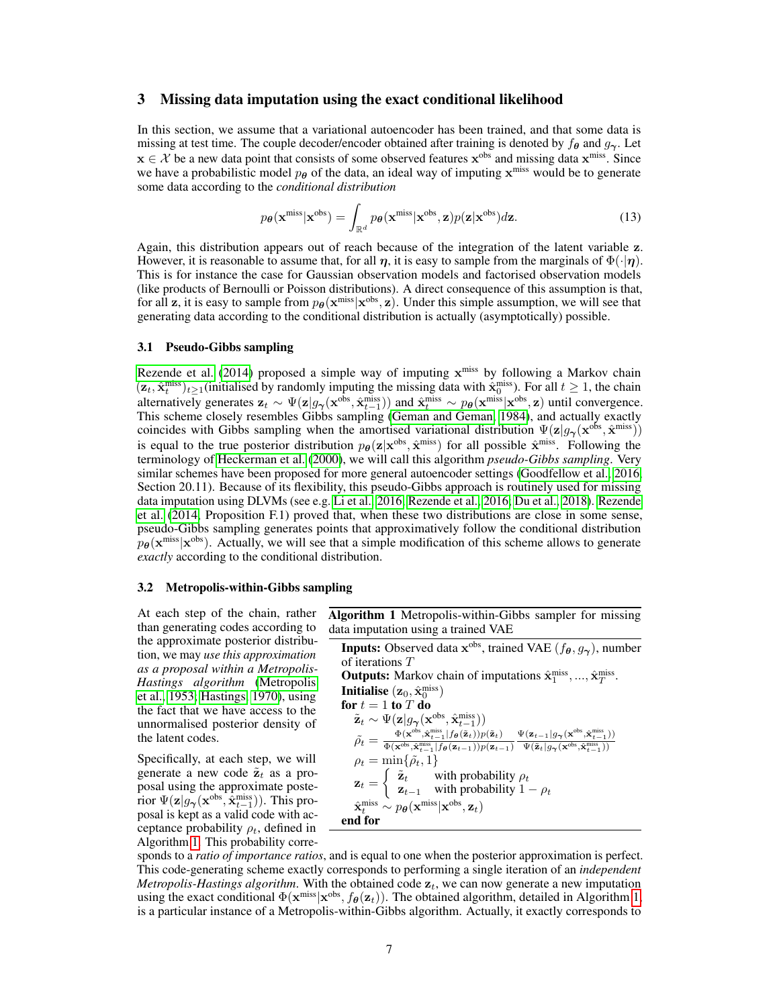## 3 Missing data imputation using the exact conditional likelihood

In this section, we assume that a variational autoencoder has been trained, and that some data is missing at test time. The couple decoder/encoder obtained after training is denoted by  $f_{\theta}$  and  $g_{\gamma}$ . Let  $x \in \mathcal{X}$  be a new data point that consists of some observed features  $x^{obs}$  and missing data  $x^{miss}$ . Since we have a probabilistic model  $p_{\theta}$  of the data, an ideal way of imputing  $\mathbf{x}^{\text{miss}}$  would be to generate some data according to the *conditional distribution*

$$
p_{\theta}(\mathbf{x}^{\text{miss}}|\mathbf{x}^{\text{obs}}) = \int_{\mathbb{R}^d} p_{\theta}(\mathbf{x}^{\text{miss}}|\mathbf{x}^{\text{obs}}, \mathbf{z}) p(\mathbf{z}|\mathbf{x}^{\text{obs}}) d\mathbf{z}.
$$
 (13)

Again, this distribution appears out of reach because of the integration of the latent variable z. However, it is reasonable to assume that, for all  $\eta$ , it is easy to sample from the marginals of  $\Phi(\cdot|\eta)$ . This is for instance the case for Gaussian observation models and factorised observation models (like products of Bernoulli or Poisson distributions). A direct consequence of this assumption is that, for all z, it is easy to sample from  $p_{\theta}(\mathbf{x}^{\text{miss}}|\mathbf{x}^{\text{obs}}, \mathbf{z})$ . Under this simple assumption, we will see that generating data according to the conditional distribution is actually (asymptotically) possible.

#### 3.1 Pseudo-Gibbs sampling

Rezende et al. (2014) proposed a simple way of imputing  $x^{miss}$  by following a Markov chain  $(\mathbf{z}_t, \hat{\mathbf{x}}_t^{\text{miss}})_{t\geq 1}$  (initialised by randomly imputing the missing data with  $\hat{\mathbf{x}}_0^{\text{miss}}$ ). For all  $t \geq 1$ , the chain alternatively generates  $\mathbf{z}_t \sim \Psi(\mathbf{z} | g_{\gamma}(\mathbf{x}^{\text{obs}}, \hat{\mathbf{x}}_{t-1}^{\text{miss}}))$  and  $\hat{\mathbf{x}}_t^{\text{miss}} \sim p_{\theta}(\mathbf{x}^{\text{miss}} | \mathbf{x}^{\text{obs}}, \mathbf{z})$  until convergence. This scheme closely resembles Gibbs sampling (Geman and Geman, 1984), and actually exactly coincides with Gibbs sampling when the amortised variational distribution  $\Psi(\mathbf{z}|g_{\gamma}(\mathbf{x}^{\text{obs}}, \hat{\mathbf{x}}^{\text{miss}}))$ is equal to the true posterior distribution  $p_{\theta}(\mathbf{z}|\mathbf{x}^{\text{obs}}, \hat{\mathbf{x}}^{\text{miss}})$  for all possible  $\hat{\mathbf{x}}^{\text{miss}}$ . Following the terminology of Heckerman et al. (2000), we will call this algorithm *pseudo-Gibbs sampling*. Very similar schemes have been proposed for more general autoencoder settings (Goodfellow et al., 2016, Section 20.11). Because of its flexibility, this pseudo-Gibbs approach is routinely used for missing data imputation using DLVMs (see e.g. Li et al., 2016; Rezende et al., 2016; Du et al., 2018). Rezende et al. (2014, Proposition F.1) proved that, when these two distributions are close in some sense, pseudo-Gibbs sampling generates points that approximatively follow the conditional distribution  $p_{\theta}(\mathbf{x}^{\text{miss}}|\mathbf{x}^{\text{obs}})$ . Actually, we will see that a simple modification of this scheme allows to generate *exactly* according to the conditional distribution.

#### 3.2 Metropolis-within-Gibbs sampling

At each step of the chain, rather than generating codes according to the approximate posterior distribution, we may *use this approximation as a proposal within a Metropolis-Hastings algorithm* (Metropolis et al., 1953; Hastings, 1970), using the fact that we have access to the unnormalised posterior density of the latent codes.

Specifically, at each step, we will generate a new code  $\tilde{\mathbf{z}}_t$  as a proposal using the approximate posterior  $\Psi(\mathbf{z}|g_{\boldsymbol{\gamma}}(\mathbf{x}^{\text{obs}}, \hat{\mathbf{x}}_{t-1}^{\text{miss}}))$ . This proposal is kept as a valid code with acceptance probability  $\rho_t$ , defined in Algorithm 1. This probability correAlgorithm 1 Metropolis-within-Gibbs sampler for missing data imputation using a trained VAE

**Inputs:** Observed data  $\mathbf{x}^{\text{obs}}$ , trained VAE  $(f_{\theta}, g_{\gamma})$ , number of iterations T **Outputs:** Markov chain of imputations  $\hat{\mathbf{x}}_1^{\text{miss}}, ..., \hat{\mathbf{x}}_T^{\text{miss}}$ . Initialise  $(\mathbf{z}_0, \hat{\mathbf{x}}_0^{\text{miss}})$ for  $t = 1$  to  $T$  do  $\tilde{\mathbf{z}}_t \sim \Psi(\mathbf{z} | g_{\boldsymbol{\gamma}}(\mathbf{x}^{\text{obs}}, \hat{\mathbf{x}}_{t-1}^{\text{miss}}))$  $\tilde{\rho_t} = \frac{\Phi(\mathbf{x}^{\text{obs}}, \hat{\mathbf{x}}_{t-1}^{\text{miss}}|f_{\boldsymbol{\theta}}(\tilde{\mathbf{z}}_t))p(\tilde{\mathbf{z}}_t)}{\Phi(\mathbf{x}^{\text{obs}}, \hat{\mathbf{x}}_{t-1}^{\text{miss}}|f_{\boldsymbol{\theta}}(\mathbf{z}_{t-1}))p(\mathbf{z}_{t-1})}$  $\Psi(\mathbf{z}_{t-1} | g_{\boldsymbol{\gamma}}(\mathbf{x}^{\text{obs}}, \hat{\mathbf{x}}_{t-1}^{\text{miss}}))$  $\Psi(\tilde{\mathbf{z}}_t|g_{\boldsymbol{\gamma}}(\mathbf{x}^{\text{obs}},\hat{\mathbf{x}}_{t-1}^{\text{miss}}))$  $\rho_t = \min\{\tilde{\rho_t}, 1\}$  $\mathbf{z}_t = \begin{cases} \tilde{\mathbf{z}}_t & \text{with probability } \rho_t \\ \mathbf{z}_{t-1} & \text{with probability } 1 \end{cases}$  $z_{t-1}$  with probability  $1 - \rho_t$  $\hat{\mathbf{x}}_t^{\text{miss}} \sim p_{\boldsymbol{\theta}}(\mathbf{x}^{\text{miss}}|\mathbf{x}^{\text{obs}}, \mathbf{z}_t)$ end for

sponds to a *ratio of importance ratios*, and is equal to one when the posterior approximation is perfect. This code-generating scheme exactly corresponds to performing a single iteration of an *independent Metropolis-Hastings algorithm*. With the obtained code  $z_t$ , we can now generate a new imputation using the exact conditional  $\Phi(\mathbf{x}^{\text{miss}}|\mathbf{x}^{\text{obs}}, f_{\theta}(\mathbf{z}_t))$ . The obtained algorithm, detailed in Algorithm 1, is a particular instance of a Metropolis-within-Gibbs algorithm. Actually, it exactly corresponds to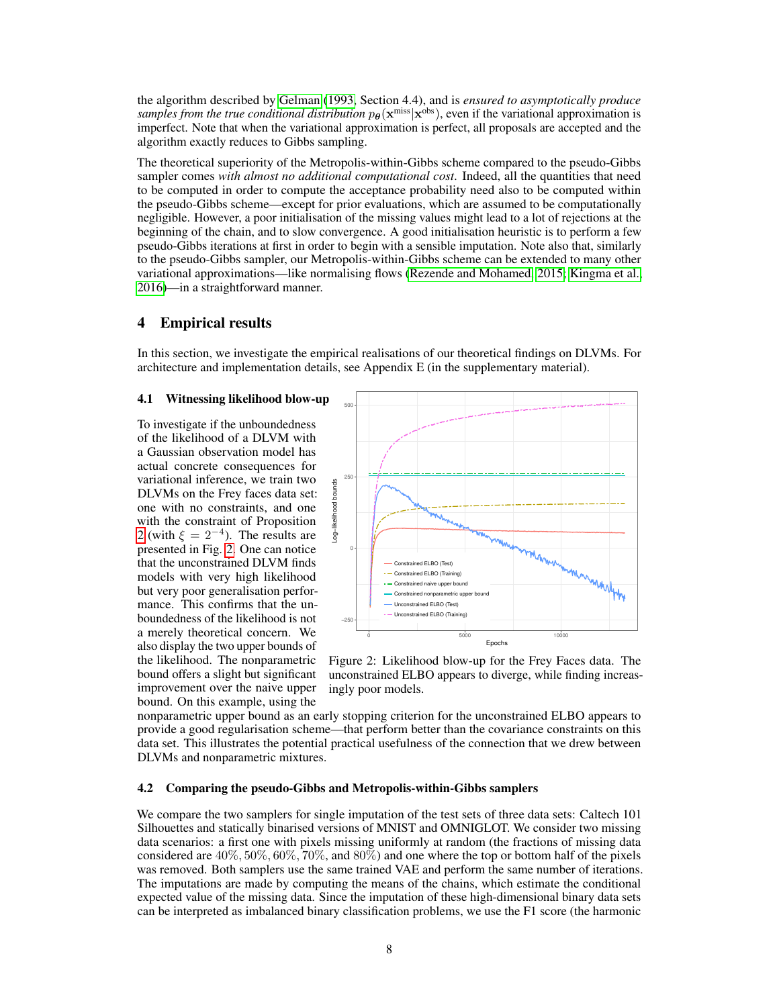the algorithm described by Gelman (1993, Section 4.4), and is *ensured to asymptotically produce* samples from the true conditional distribution  $p_{\theta}(\mathbf{x}^{\text{miss}}|\mathbf{x}^{\text{obs}})$ , even if the variational approximation is imperfect. Note that when the variational approximation is perfect, all proposals are accepted and the algorithm exactly reduces to Gibbs sampling.

The theoretical superiority of the Metropolis-within-Gibbs scheme compared to the pseudo-Gibbs sampler comes *with almost no additional computational cost*. Indeed, all the quantities that need to be computed in order to compute the acceptance probability need also to be computed within the pseudo-Gibbs scheme—except for prior evaluations, which are assumed to be computationally negligible. However, a poor initialisation of the missing values might lead to a lot of rejections at the beginning of the chain, and to slow convergence. A good initialisation heuristic is to perform a few pseudo-Gibbs iterations at first in order to begin with a sensible imputation. Note also that, similarly to the pseudo-Gibbs sampler, our Metropolis-within-Gibbs scheme can be extended to many other variational approximations—like normalising flows (Rezende and Mohamed, 2015; Kingma et al., 2016)—in a straightforward manner.

## 4 Empirical results

In this section, we investigate the empirical realisations of our theoretical findings on DLVMs. For architecture and implementation details, see Appendix E (in the supplementary material).

#### 4.1 Witnessing likelihood blow-up

To investigate if the unboundedness of the likelihood of a DLVM with a Gaussian observation model has actual concrete consequences for variational inference, we train two DLVMs on the Frey faces data set: one with no constraints, and one with the constraint of Proposition 2 (with  $\xi = 2^{-4}$ ). The results are presented in Fig. 2. One can notice that the unconstrained DLVM finds models with very high likelihood but very poor generalisation performance. This confirms that the unboundedness of the likelihood is not a merely theoretical concern. We also display the two upper bounds of the likelihood. The nonparametric bound offers a slight but significant improvement over the naive upper bound. On this example, using the



Figure 2: Likelihood blow-up for the Frey Faces data. The unconstrained ELBO appears to diverge, while finding increasingly poor models.

nonparametric upper bound as an early stopping criterion for the unconstrained ELBO appears to provide a good regularisation scheme—that perform better than the covariance constraints on this data set. This illustrates the potential practical usefulness of the connection that we drew between DLVMs and nonparametric mixtures.

#### 4.2 Comparing the pseudo-Gibbs and Metropolis-within-Gibbs samplers

We compare the two samplers for single imputation of the test sets of three data sets: Caltech 101 Silhouettes and statically binarised versions of MNIST and OMNIGLOT. We consider two missing data scenarios: a first one with pixels missing uniformly at random (the fractions of missing data considered are  $40\%, 50\%, 60\%, 70\%,$  and  $80\%$ ) and one where the top or bottom half of the pixels was removed. Both samplers use the same trained VAE and perform the same number of iterations. The imputations are made by computing the means of the chains, which estimate the conditional expected value of the missing data. Since the imputation of these high-dimensional binary data sets can be interpreted as imbalanced binary classification problems, we use the F1 score (the harmonic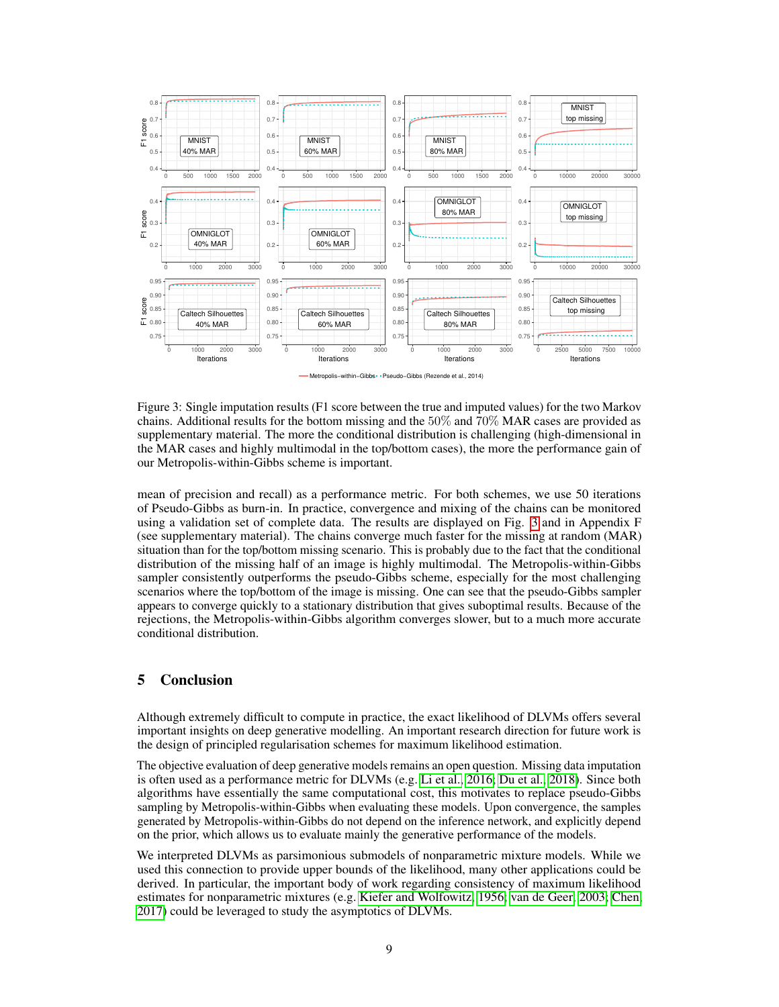

Metropolis−within−Gibbs Pseudo−Gibbs (Rezende et al., 2014)

Figure 3: Single imputation results (F1 score between the true and imputed values) for the two Markov chains. Additional results for the bottom missing and the 50% and 70% MAR cases are provided as supplementary material. The more the conditional distribution is challenging (high-dimensional in the MAR cases and highly multimodal in the top/bottom cases), the more the performance gain of our Metropolis-within-Gibbs scheme is important.

mean of precision and recall) as a performance metric. For both schemes, we use 50 iterations of Pseudo-Gibbs as burn-in. In practice, convergence and mixing of the chains can be monitored using a validation set of complete data. The results are displayed on Fig. 3 and in Appendix F (see supplementary material). The chains converge much faster for the missing at random (MAR) situation than for the top/bottom missing scenario. This is probably due to the fact that the conditional distribution of the missing half of an image is highly multimodal. The Metropolis-within-Gibbs sampler consistently outperforms the pseudo-Gibbs scheme, especially for the most challenging scenarios where the top/bottom of the image is missing. One can see that the pseudo-Gibbs sampler appears to converge quickly to a stationary distribution that gives suboptimal results. Because of the rejections, the Metropolis-within-Gibbs algorithm converges slower, but to a much more accurate conditional distribution.

# 5 Conclusion

Although extremely difficult to compute in practice, the exact likelihood of DLVMs offers several important insights on deep generative modelling. An important research direction for future work is the design of principled regularisation schemes for maximum likelihood estimation.

The objective evaluation of deep generative models remains an open question. Missing data imputation is often used as a performance metric for DLVMs (e.g. Li et al., 2016; Du et al., 2018). Since both algorithms have essentially the same computational cost, this motivates to replace pseudo-Gibbs sampling by Metropolis-within-Gibbs when evaluating these models. Upon convergence, the samples generated by Metropolis-within-Gibbs do not depend on the inference network, and explicitly depend on the prior, which allows us to evaluate mainly the generative performance of the models.

We interpreted DLVMs as parsimonious submodels of nonparametric mixture models. While we used this connection to provide upper bounds of the likelihood, many other applications could be derived. In particular, the important body of work regarding consistency of maximum likelihood estimates for nonparametric mixtures (e.g. Kiefer and Wolfowitz, 1956; van de Geer, 2003; Chen, 2017) could be leveraged to study the asymptotics of DLVMs.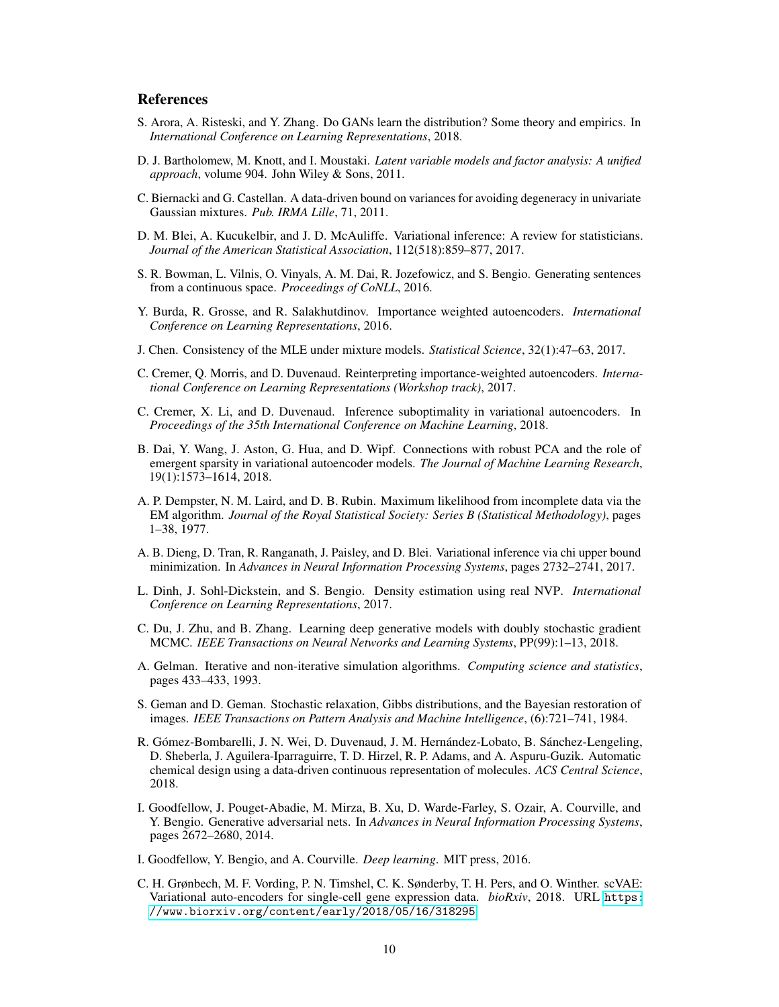# References

- S. Arora, A. Risteski, and Y. Zhang. Do GANs learn the distribution? Some theory and empirics. In *International Conference on Learning Representations*, 2018.
- D. J. Bartholomew, M. Knott, and I. Moustaki. *Latent variable models and factor analysis: A unified approach*, volume 904. John Wiley & Sons, 2011.
- C. Biernacki and G. Castellan. A data-driven bound on variances for avoiding degeneracy in univariate Gaussian mixtures. *Pub. IRMA Lille*, 71, 2011.
- D. M. Blei, A. Kucukelbir, and J. D. McAuliffe. Variational inference: A review for statisticians. *Journal of the American Statistical Association*, 112(518):859–877, 2017.
- S. R. Bowman, L. Vilnis, O. Vinyals, A. M. Dai, R. Jozefowicz, and S. Bengio. Generating sentences from a continuous space. *Proceedings of CoNLL*, 2016.
- Y. Burda, R. Grosse, and R. Salakhutdinov. Importance weighted autoencoders. *International Conference on Learning Representations*, 2016.
- J. Chen. Consistency of the MLE under mixture models. *Statistical Science*, 32(1):47–63, 2017.
- C. Cremer, Q. Morris, and D. Duvenaud. Reinterpreting importance-weighted autoencoders. *International Conference on Learning Representations (Workshop track)*, 2017.
- C. Cremer, X. Li, and D. Duvenaud. Inference suboptimality in variational autoencoders. In *Proceedings of the 35th International Conference on Machine Learning*, 2018.
- B. Dai, Y. Wang, J. Aston, G. Hua, and D. Wipf. Connections with robust PCA and the role of emergent sparsity in variational autoencoder models. *The Journal of Machine Learning Research*, 19(1):1573–1614, 2018.
- A. P. Dempster, N. M. Laird, and D. B. Rubin. Maximum likelihood from incomplete data via the EM algorithm. *Journal of the Royal Statistical Society: Series B (Statistical Methodology)*, pages 1–38, 1977.
- A. B. Dieng, D. Tran, R. Ranganath, J. Paisley, and D. Blei. Variational inference via chi upper bound minimization. In *Advances in Neural Information Processing Systems*, pages 2732–2741, 2017.
- L. Dinh, J. Sohl-Dickstein, and S. Bengio. Density estimation using real NVP. *International Conference on Learning Representations*, 2017.
- C. Du, J. Zhu, and B. Zhang. Learning deep generative models with doubly stochastic gradient MCMC. *IEEE Transactions on Neural Networks and Learning Systems*, PP(99):1–13, 2018.
- A. Gelman. Iterative and non-iterative simulation algorithms. *Computing science and statistics*, pages 433–433, 1993.
- S. Geman and D. Geman. Stochastic relaxation, Gibbs distributions, and the Bayesian restoration of images. *IEEE Transactions on Pattern Analysis and Machine Intelligence*, (6):721–741, 1984.
- R. Gómez-Bombarelli, J. N. Wei, D. Duvenaud, J. M. Hernández-Lobato, B. Sánchez-Lengeling, D. Sheberla, J. Aguilera-Iparraguirre, T. D. Hirzel, R. P. Adams, and A. Aspuru-Guzik. Automatic chemical design using a data-driven continuous representation of molecules. *ACS Central Science*, 2018.
- I. Goodfellow, J. Pouget-Abadie, M. Mirza, B. Xu, D. Warde-Farley, S. Ozair, A. Courville, and Y. Bengio. Generative adversarial nets. In *Advances in Neural Information Processing Systems*, pages 2672–2680, 2014.
- I. Goodfellow, Y. Bengio, and A. Courville. *Deep learning*. MIT press, 2016.
- C. H. Grønbech, M. F. Vording, P. N. Timshel, C. K. Sønderby, T. H. Pers, and O. Winther. scVAE: Variational auto-encoders for single-cell gene expression data. *bioRxiv*, 2018. URL [https:](https://www.biorxiv.org/content/early/2018/05/16/318295) [//www.biorxiv.org/content/early/2018/05/16/318295](https://www.biorxiv.org/content/early/2018/05/16/318295).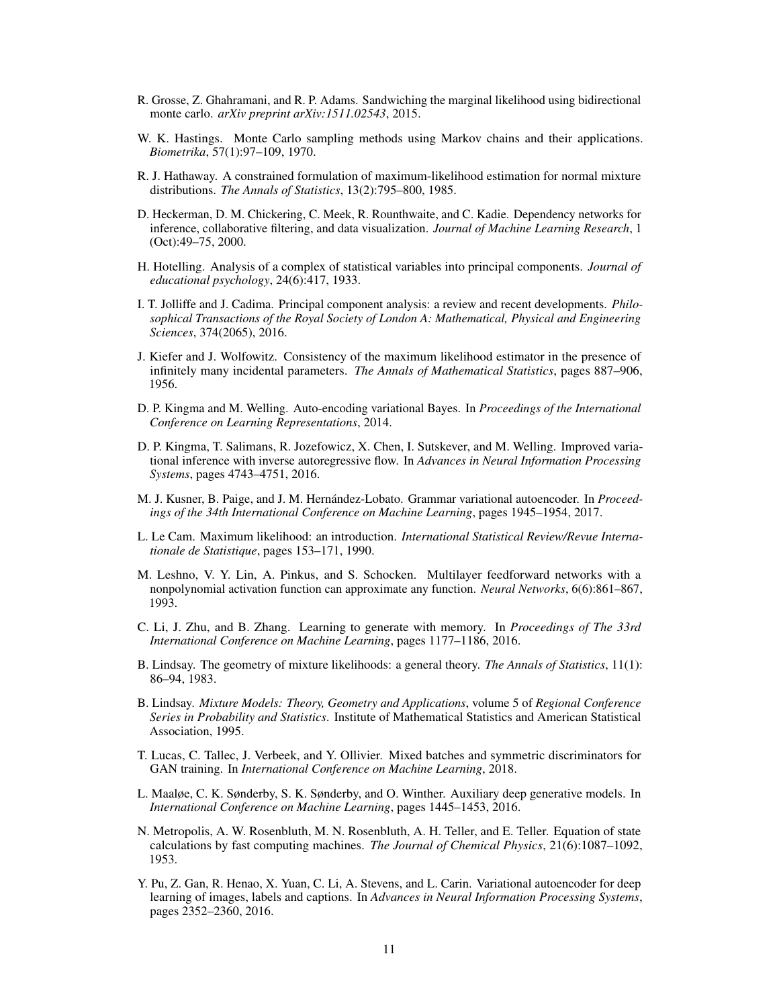- R. Grosse, Z. Ghahramani, and R. P. Adams. Sandwiching the marginal likelihood using bidirectional monte carlo. *arXiv preprint arXiv:1511.02543*, 2015.
- W. K. Hastings. Monte Carlo sampling methods using Markov chains and their applications. *Biometrika*, 57(1):97–109, 1970.
- R. J. Hathaway. A constrained formulation of maximum-likelihood estimation for normal mixture distributions. *The Annals of Statistics*, 13(2):795–800, 1985.
- D. Heckerman, D. M. Chickering, C. Meek, R. Rounthwaite, and C. Kadie. Dependency networks for inference, collaborative filtering, and data visualization. *Journal of Machine Learning Research*, 1 (Oct):49–75, 2000.
- H. Hotelling. Analysis of a complex of statistical variables into principal components. *Journal of educational psychology*, 24(6):417, 1933.
- I. T. Jolliffe and J. Cadima. Principal component analysis: a review and recent developments. *Philosophical Transactions of the Royal Society of London A: Mathematical, Physical and Engineering Sciences*, 374(2065), 2016.
- J. Kiefer and J. Wolfowitz. Consistency of the maximum likelihood estimator in the presence of infinitely many incidental parameters. *The Annals of Mathematical Statistics*, pages 887–906, 1956.
- D. P. Kingma and M. Welling. Auto-encoding variational Bayes. In *Proceedings of the International Conference on Learning Representations*, 2014.
- D. P. Kingma, T. Salimans, R. Jozefowicz, X. Chen, I. Sutskever, and M. Welling. Improved variational inference with inverse autoregressive flow. In *Advances in Neural Information Processing Systems*, pages 4743–4751, 2016.
- M. J. Kusner, B. Paige, and J. M. Hernández-Lobato. Grammar variational autoencoder. In *Proceedings of the 34th International Conference on Machine Learning*, pages 1945–1954, 2017.
- L. Le Cam. Maximum likelihood: an introduction. *International Statistical Review/Revue Internationale de Statistique*, pages 153–171, 1990.
- M. Leshno, V. Y. Lin, A. Pinkus, and S. Schocken. Multilayer feedforward networks with a nonpolynomial activation function can approximate any function. *Neural Networks*, 6(6):861–867, 1993.
- C. Li, J. Zhu, and B. Zhang. Learning to generate with memory. In *Proceedings of The 33rd International Conference on Machine Learning*, pages 1177–1186, 2016.
- B. Lindsay. The geometry of mixture likelihoods: a general theory. *The Annals of Statistics*, 11(1): 86–94, 1983.
- B. Lindsay. *Mixture Models: Theory, Geometry and Applications*, volume 5 of *Regional Conference Series in Probability and Statistics*. Institute of Mathematical Statistics and American Statistical Association, 1995.
- T. Lucas, C. Tallec, J. Verbeek, and Y. Ollivier. Mixed batches and symmetric discriminators for GAN training. In *International Conference on Machine Learning*, 2018.
- L. Maaløe, C. K. Sønderby, S. K. Sønderby, and O. Winther. Auxiliary deep generative models. In *International Conference on Machine Learning*, pages 1445–1453, 2016.
- N. Metropolis, A. W. Rosenbluth, M. N. Rosenbluth, A. H. Teller, and E. Teller. Equation of state calculations by fast computing machines. *The Journal of Chemical Physics*, 21(6):1087–1092, 1953.
- Y. Pu, Z. Gan, R. Henao, X. Yuan, C. Li, A. Stevens, and L. Carin. Variational autoencoder for deep learning of images, labels and captions. In *Advances in Neural Information Processing Systems*, pages 2352–2360, 2016.